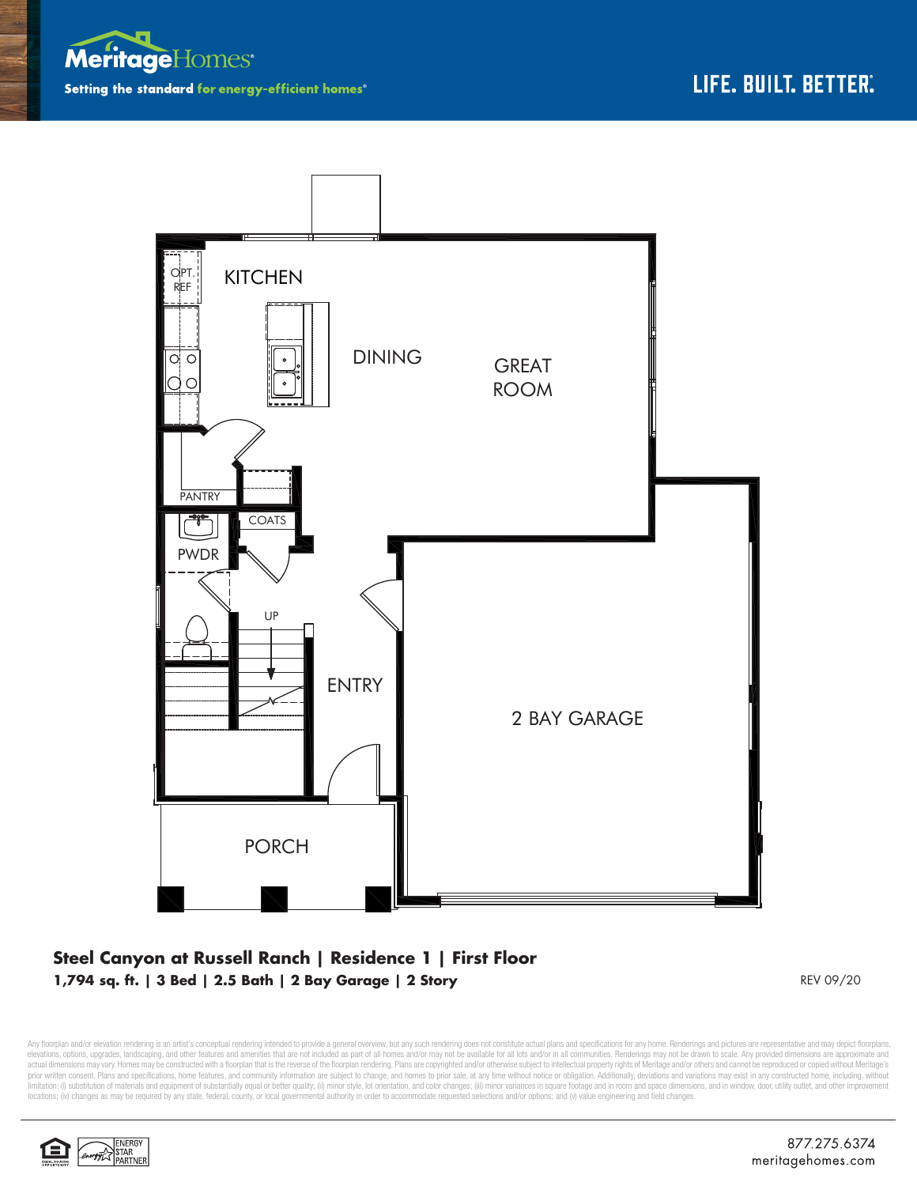



## **Steel Canyon at Russell Ranch | Residence 1 | First Floor 1,794 sq. ft. | 3 Bed | 2.5 Bath | 2 Bay Garage | 2 Story** REV 09/20

Any floorplan and/or elevation rendering is an artist's conceptual rendering intended to provide a general overview, but any such rendering does not constitute actual plans and specifications for any home. Renderings and p elevations, options, upgrades, landscaping, and other features and amenities that are not included as part of all homes and/or may not be available for all lots and/or in all communities. Renderings may not be drawn to sca limitation: (i) substitution of materials and equipment of substantially equal or better quality; (ii) minor style, lot orientation, and color changes; (iii) minor variances in square footage and in room and space dimensio locations; (iv) changes as may be required by any state, federal, county, or local governmental authority in order to accommodate requested selections and/or options; and (v) value engineering and field changes.